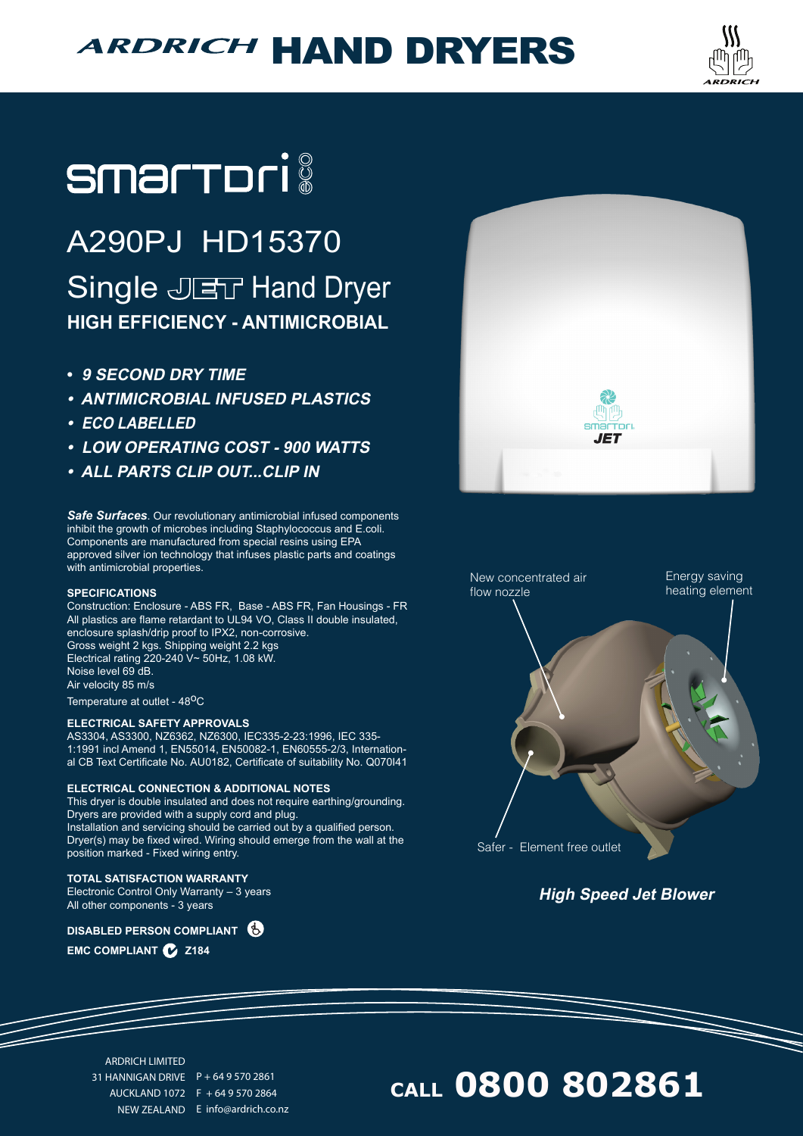## **ARDRICH HAND DRYERS**



# **smartori**

### A290PJ HD15370 Single JET Hand Dryer **HIGH EFFICIENCY - ANTIMICROBIAL**

- **• 9 SECOND DRY TIME**
- **• ANTIMICROBIAL INFUSED PLASTICS**
- **• ECO LABELLED**
- **• LOW OPERATING COST 900 WATTS**
- **• ALL PARTS CLIP OUT...CLIP IN**

*Safe Surfaces*. Our revolutionary antimicrobial infused components inhibit the growth of microbes including Staphylococcus and E.coli. Components are manufactured from special resins using EPA approved silver ion technology that infuses plastic parts and coatings with antimicrobial properties.

#### **SPECIFICATIONS**

Construction: Enclosure - ABS FR, Base - ABS FR, Fan Housings - FR All plastics are flame retardant to UL94 VO, Class II double insulated, enclosure splash/drip proof to IPX2, non-corrosive. Gross weight 2 kgs. Shipping weight 2.2 kgs Electrical rating 220-240 V~ 50Hz, 1.08 kW. Noise level 69 dB. Air velocity 85 m/s

Temperature at outlet - 48<sup>o</sup>C

#### **ELECTRICAL SAFETY APPROVALS**

AS3304, AS3300, NZ6362, NZ6300, IEC335-2-23:1996, IEC 335- 1:1991 incl Amend 1, EN55014, EN50082-1, EN60555-2/3, International CB Text Certificate No. AU0182, Certificate of suitability No. Q070I41

#### **ELECTRICAL CONNECTION & ADDITIONAL NOTES**

This dryer is double insulated and does not require earthing/grounding. Dryers are provided with a supply cord and plug. Installation and servicing should be carried out by a qualified person. Dryer(s) may be fixed wired. Wiring should emerge from the wall at the position marked - Fixed wiring entry.

#### **TOTAL SATISFACTION WARRANTY**

Electronic Control Only Warranty – 3 years All other components - 3 years

**DISABLED PERSON COMPLIANT**

**EMC COMPLIANT Z184**





**High Speed Jet Blower**

### **CALL 0800 802861**

ARDRICH LIMITED 31 HANNIGAN DRIVE P + 64 9 570 2861 AUCKLAND 1072 F + 64 9 570 2864

NEW ZEALAND E info@ardrich.co.nz